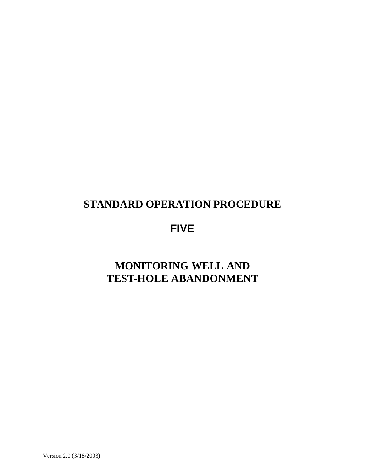### **STANDARD OPERATION PROCEDURE**

# **FIVE**

# **MONITORING WELL AND TEST-HOLE ABANDONMENT**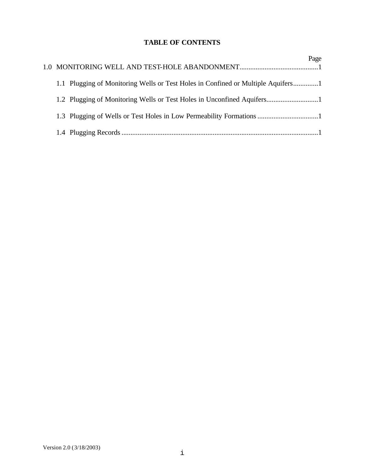### **TABLE OF CONTENTS**

|  |                                                                                  | Page |
|--|----------------------------------------------------------------------------------|------|
|  | 1.1 Plugging of Monitoring Wells or Test Holes in Confined or Multiple Aquifers1 |      |
|  |                                                                                  |      |
|  |                                                                                  |      |
|  |                                                                                  |      |